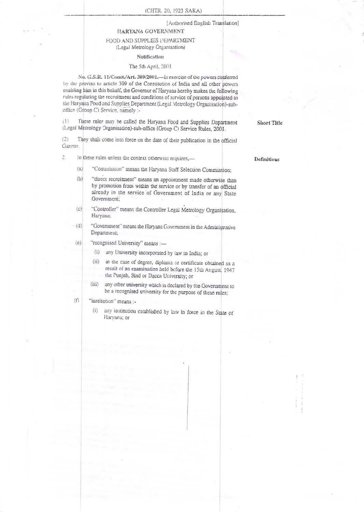## [Authorised English Translation]

# HARYANA GOYERNMENT

## FOOD AND SUPPLIES DEPARTMENT (Legal Metrology Organisation)

#### Notification

## The 5th April, 2001

No. G.S.R. 11/Const./Art. 309/2001. - In exercise of the powers conferred by the proviso to article 309 of the Constitution of India and all other powers enabling him in this behalf, the Governor of Haryana hereby makes the following rules regulating the recruitment and conditions of service of persons appointed to the Haryana Food and Supplies Department (Legal Metrology Organisation)-suboffice (Group C) Service, namely :-

These rules may be called the Haryana Food and Supplies Department  $(1)$ (Legal Metrology Organisation)-sub-office (Group C) Service Rules, 2001.

 $(2)$ They shall come into force on the date of their publication in the official Gazette.

In these rules unless the context otherwise requires,- $\tilde{c}$ 

- "Commission" means the Haryana Staff Selection Commission;  $(a)$
- $(b)$ "direct recruitment" means an appointment made otherwise than by promotion from within the service or by transfer of an official already in the service of Government of India or any State Government;
- $(c)$ "Controller" means the Controller Legal Metrology Organisation, Haryana;
- "Government" means the Haryana Government in the Administrative  $(d)$ Department;
- $(e)$ "recognised University" means :-
	- (i) any University incorporated by law in India; or
	- $(ii)$ in the case of degree, diploma or certificate obtained as a result of an examination held before the 15th August, 1947 the Punjab, Sind or Dacca University; or
	- $(iii)$ any other university which is declared by the Government to be a recognised university for the purpose of these rules;
- $(f)$ "institution" means:
	- any institution established by law in force in the State of  $(i)$ Haryana; or

Definitions

**Short Title**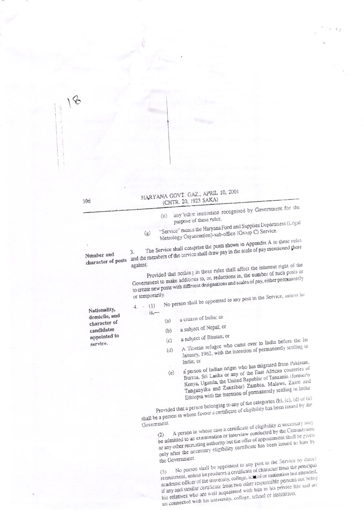|                       |  |  | HARYANA GOVT. GAZ., APRIL 10, 200 |  |
|-----------------------|--|--|-----------------------------------|--|
| (CHTR. 20, 1923 SAKA) |  |  |                                   |  |

- any other institution recognised by Government for the  $(ii)$ purpose of these rules;
- "Service" means the Haryana Food and Supplies Department (Legal Metrology Organisation)-sub-office (Group C) Service.  $(g)$

The Service shall comprise the posts shown in Appendix A to these rules and the members of the service shall draw pay in the scale of pay mentioned there

Nuraber and character of posts

Provided that nothing in these rules shall affect the inherent right of the against: Government to make additions to, or, reductions in, the number of such posts or to create new posts with different designations and scales of pay, either permanently

No person shall be appointed to any post in the Service, unless he or temporarily.  $(1)$ 

 $4.$ 

Nationality, domicile, and character of candidates appointed to service.

 $is.$ 

- a citizen of India; or  $(a)$ a subject of Nepal; or
- $(b)$ a subject of Bhutan; or
- A Tibetan refugee who came over to India before the Ist  $(c)$ January, 1962, with the intention of permanently settling in  $(d)$
- a person of Indian origin who has migrated from Pakistan, India; or Burna, Sri Lanka or any of the East African countries of  $(e)$ Kenya, Uganda, the United Republic of Tanzania (formerly Tanganyika and Zanzibar) Zambia, Malawi, Zaire and Ethiopia with the intention of permanently settling in India:

Provided that a person belonging to any of the categories (b), (c), (d) or (e) shall be a person in whose favour a certificate of eligibility has been issued by the

Government.

A person in whose case a certificate of eligibility is necessary may be admitted to an examination or interview conducted by the Commission or any other recruiting authority but the offer of appointment shall be given on any other the necessary eligibility certificate has been issued to him by

the Government. No person shall be appointed to any post in the Service by direct recruitment, unless be produces a certificate of character from the principal academic officer of the university, college, solool or institution last attended, if any and similar certificate from two other responsible persons not being this relatives who are well acquainted with him in his private life and are un connected with his university, college, school or institution.

306